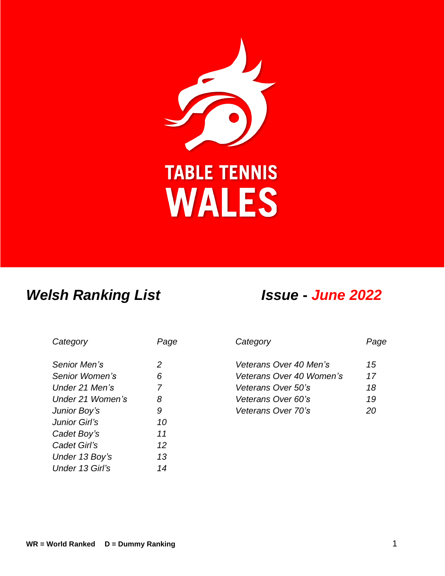

# *Welsh Ranking List Issue* **-** *June 2022*

| Category         |                |
|------------------|----------------|
| Senior Men's     | 2              |
| Senior Women's   | 6              |
| Under 21 Men's   | $\overline{7}$ |
| Under 21 Women's | 8              |
| Junior Boy's     | 9              |
| Junior Girl's    | 10             |
| Cadet Boy's      | 11             |
| Cadet Girl's     | 12             |
| Under 13 Boy's   | 13             |
| Under 13 Girl's  | 14             |

| Category         | Page | Category                 | Page |
|------------------|------|--------------------------|------|
| Senior Men's     | 2    | Veterans Over 40 Men's   | 15   |
| Senior Women's   | 6    | Veterans Over 40 Women's | 17   |
| Under 21 Men's   | 7    | Veterans Over 50's       | 18   |
| Under 21 Women's | 8    | Veterans Over 60's       | 19   |
| Junior Boy's     | 9    | Veterans Over 70's       | 20   |
|                  |      |                          |      |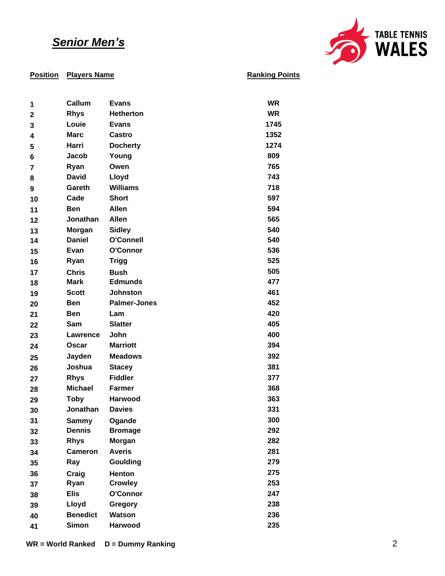## *Senior Men's*



### **Position Players Name**

| 1  | Callum          | <b>Evans</b>        | <b>WR</b> |
|----|-----------------|---------------------|-----------|
| 2  | <b>Rhys</b>     | <b>Hetherton</b>    | <b>WR</b> |
| 3  | Louie           | <b>Evans</b>        | 1745      |
| 4  | <b>Marc</b>     | <b>Castro</b>       | 1352      |
| 5  | Harri           | <b>Docherty</b>     | 1274      |
| 6  | Jacob           | Young               | 809       |
| 7  | Ryan            | Owen                | 765       |
| 8  | <b>David</b>    | Lloyd               | 743       |
| 9  | Gareth          | <b>Williams</b>     | 718       |
| 10 | Cade            | <b>Short</b>        | 597       |
| 11 | <b>Ben</b>      | <b>Allen</b>        | 594       |
| 12 | Jonathan        | <b>Allen</b>        | 565       |
| 13 | Morgan          | <b>Sidley</b>       | 540       |
| 14 | <b>Daniel</b>   | O'Connell           | 540       |
| 15 | Evan            | O'Connor            | 536       |
| 16 | Ryan            | <b>Trigg</b>        | 525       |
| 17 | <b>Chris</b>    | <b>Bush</b>         | 505       |
| 18 | <b>Mark</b>     | <b>Edmunds</b>      | 477       |
| 19 | <b>Scott</b>    | Johnston            | 461       |
| 20 | <b>Ben</b>      | <b>Palmer-Jones</b> | 452       |
| 21 | <b>Ben</b>      | Lam                 | 420       |
| 22 | Sam             | <b>Slatter</b>      | 405       |
| 23 | Lawrence        | John                | 400       |
| 24 | Oscar           | <b>Marriott</b>     | 394       |
| 25 | Jayden          | <b>Meadows</b>      | 392       |
| 26 | Joshua          | <b>Stacey</b>       | 381       |
| 27 | <b>Rhys</b>     | <b>Fiddler</b>      | 377       |
| 28 | <b>Michael</b>  | <b>Farmer</b>       | 368       |
| 29 | <b>Toby</b>     | <b>Harwood</b>      | 363       |
| 30 | Jonathan        | <b>Davies</b>       | 331       |
| 31 | Sammy           | Ogande              | 300       |
| 32 | <b>Dennis</b>   | <b>Bromage</b>      | 292       |
| 33 | <b>Rhys</b>     | <b>Morgan</b>       | 282       |
| 34 | <b>Cameron</b>  | <b>Averis</b>       | 281       |
| 35 | Ray             | Goulding            | 279       |
| 36 | Craig           | Henton              | 275       |
| 37 | Ryan            | <b>Crowley</b>      | 253       |
| 38 | <b>Elis</b>     | O'Connor            | 247       |
| 39 | Lloyd           | Gregory             | 238       |
| 40 | <b>Benedict</b> | <b>Watson</b>       | 236       |
| 41 | <b>Simon</b>    | Harwood             | 235       |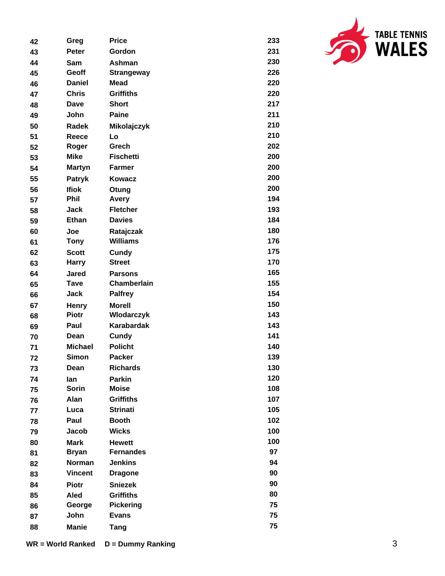| 42 | Greg           | <b>Price</b>      | 233 |
|----|----------------|-------------------|-----|
| 43 | Peter          | Gordon            | 231 |
| 44 | Sam            | Ashman            | 230 |
| 45 | Geoff          | <b>Strangeway</b> | 226 |
| 46 | <b>Daniel</b>  | <b>Mead</b>       | 220 |
| 47 | <b>Chris</b>   | <b>Griffiths</b>  | 220 |
| 48 | Dave           | <b>Short</b>      | 217 |
| 49 | John           | <b>Paine</b>      | 211 |
| 50 | <b>Radek</b>   | Mikolajczyk       | 210 |
| 51 | Reece          | Lo                | 210 |
| 52 | Roger          | Grech             | 202 |
| 53 | <b>Mike</b>    | <b>Fischetti</b>  | 200 |
| 54 | <b>Martyn</b>  | <b>Farmer</b>     | 200 |
| 55 | Patryk         | Kowacz            | 200 |
| 56 | <b>Ifiok</b>   | Otung             | 200 |
| 57 | Phil           | Avery             | 194 |
| 58 | Jack           | <b>Fletcher</b>   | 193 |
| 59 | <b>Ethan</b>   | <b>Davies</b>     | 184 |
| 60 | Joe            | Ratajczak         | 180 |
| 61 | <b>Tony</b>    | <b>Williams</b>   | 176 |
| 62 | <b>Scott</b>   | Cundy             | 175 |
| 63 | <b>Harry</b>   | <b>Street</b>     | 170 |
| 64 | Jared          | <b>Parsons</b>    | 165 |
| 65 | <b>Tave</b>    | Chamberlain       | 155 |
| 66 | Jack           | <b>Palfrey</b>    | 154 |
| 67 | <b>Henry</b>   | <b>Morell</b>     | 150 |
| 68 | <b>Piotr</b>   | Wlodarczyk        | 143 |
| 69 | Paul           | <b>Karabardak</b> | 143 |
| 70 | Dean           | Cundy             | 141 |
| 71 | <b>Michael</b> | <b>Policht</b>    | 140 |
| 72 | <b>Simon</b>   | <b>Packer</b>     | 139 |
| 73 | Dean           | <b>Richards</b>   | 130 |
| 74 | lan            | <b>Parkin</b>     | 120 |
| 75 | <b>Sorin</b>   | <b>Moise</b>      | 108 |
| 76 | Alan           | <b>Griffiths</b>  | 107 |
| 77 | Luca           | <b>Strinati</b>   | 105 |
| 78 | Paul           | <b>Booth</b>      | 102 |
| 79 | Jacob          | <b>Wicks</b>      | 100 |
| 80 | <b>Mark</b>    | <b>Hewett</b>     | 100 |
| 81 | <b>Bryan</b>   | <b>Fernandes</b>  | 97  |
| 82 | Norman         | <b>Jenkins</b>    | 94  |
| 83 | <b>Vincent</b> | <b>Dragone</b>    | 90  |
| 84 | <b>Piotr</b>   | <b>Sniezek</b>    | 90  |
| 85 | Aled           | <b>Griffiths</b>  | 80  |
| 86 | George         | <b>Pickering</b>  | 75  |
| 87 | John           | <b>Evans</b>      | 75  |
| 88 | <b>Manie</b>   | <b>Tang</b>       | 75  |

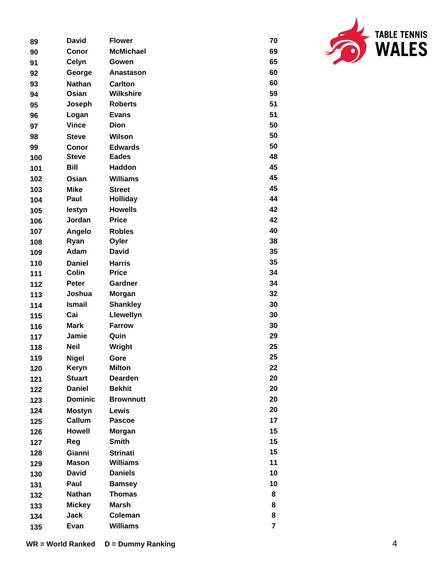| 89  | <b>David</b>   | <b>Flower</b>    | 70 |
|-----|----------------|------------------|----|
| 90  | Conor          | <b>McMichael</b> | 69 |
| 91  | Celyn          | Gowen            | 65 |
| 92  | George         | <b>Anastason</b> | 60 |
| 93  | <b>Nathan</b>  | <b>Carlton</b>   | 60 |
| 94  | Osian          | <b>Wilkshire</b> | 59 |
| 95  | Joseph         | <b>Roberts</b>   | 51 |
| 96  | Logan          | <b>Evans</b>     | 51 |
| 97  | <b>Vince</b>   | Dion             | 50 |
| 98  | <b>Steve</b>   | Wilson           | 50 |
| 99  | Conor          | <b>Edwards</b>   | 50 |
| 100 | <b>Steve</b>   | <b>Eades</b>     | 48 |
| 101 | Bill           | Haddon           | 45 |
| 102 | Osian          | <b>Williams</b>  | 45 |
| 103 | <b>Mike</b>    | <b>Street</b>    | 45 |
| 104 | Paul           | <b>Holliday</b>  | 44 |
| 105 | lestyn         | <b>Howells</b>   | 42 |
| 106 | Jordan         | <b>Price</b>     | 42 |
| 107 | Angelo         | <b>Robles</b>    | 40 |
| 108 | Ryan           | Oyler            | 38 |
| 109 | Adam           | David            | 35 |
| 110 | <b>Daniel</b>  | <b>Harris</b>    | 35 |
| 111 | <b>Colin</b>   | <b>Price</b>     | 34 |
| 112 | <b>Peter</b>   | Gardner          | 34 |
| 113 | Joshua         | Morgan           | 32 |
| 114 | <b>Ismail</b>  | <b>Shankley</b>  | 30 |
| 115 | Cai            | Llewellyn        | 30 |
| 116 | <b>Mark</b>    | <b>Farrow</b>    | 30 |
| 117 | Jamie          | Quin             | 29 |
| 118 | <b>Neil</b>    | Wright           | 25 |
| 119 | <b>Nigel</b>   | Gore             | 25 |
| 120 | Keryn          | <b>Milton</b>    | 22 |
| 121 | <b>Stuart</b>  | <b>Dearden</b>   | 20 |
| 122 | <b>Daniel</b>  | <b>Bekhit</b>    | 20 |
| 123 | <b>Dominic</b> | <b>Brownnutt</b> | 20 |
| 124 | <b>Mostyn</b>  | <b>Lewis</b>     | 20 |
| 125 | Callum         | <b>Pascoe</b>    | 17 |
| 126 | <b>Howell</b>  | Morgan           | 15 |
| 127 | Reg            | <b>Smith</b>     | 15 |
| 128 | Gianni         | <b>Strinati</b>  | 15 |
| 129 | <b>Mason</b>   | <b>Williams</b>  | 11 |
| 130 | <b>David</b>   | <b>Daniels</b>   | 10 |
| 131 | Paul           | <b>Bamsey</b>    | 10 |
| 132 | <b>Nathan</b>  | <b>Thomas</b>    | 8  |
| 133 | <b>Mickey</b>  | <b>Marsh</b>     | 8  |
| 134 | <b>Jack</b>    | Coleman          | 8  |
| 135 | Evan           | <b>Williams</b>  | 7  |

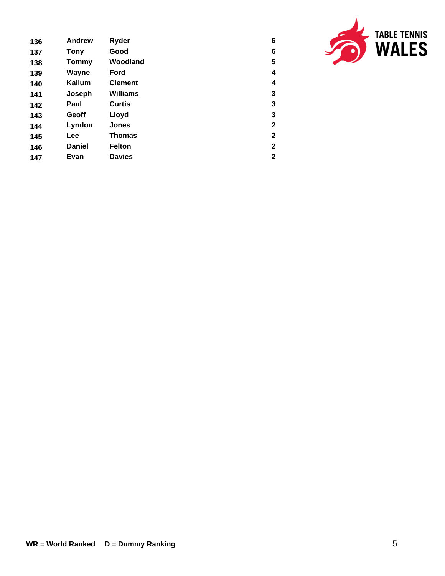| 136 | <b>Andrew</b> | Ryder           | 6              |
|-----|---------------|-----------------|----------------|
| 137 | <b>Tony</b>   | Good            | 6              |
| 138 | Tommy         | Woodland        | 5              |
| 139 | Wayne         | Ford            | 4              |
| 140 | Kallum        | <b>Clement</b>  | 4              |
| 141 | Joseph        | <b>Williams</b> | 3              |
| 142 | Paul          | <b>Curtis</b>   | 3              |
| 143 | Geoff         | Lloyd           | 3              |
| 144 | Lyndon        | <b>Jones</b>    | $\mathbf{2}$   |
| 145 | Lee           | Thomas          | $\mathbf{2}$   |
| 146 | <b>Daniel</b> | <b>Felton</b>   | $\mathbf{2}$   |
| 147 | Evan          | <b>Davies</b>   | $\overline{2}$ |

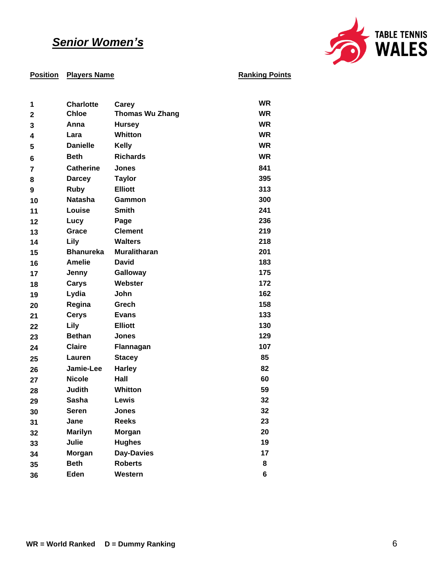## *Senior Women's*



| 1              | <b>Charlotte</b> | Carey                  | <b>WR</b> |
|----------------|------------------|------------------------|-----------|
| $\mathbf{2}$   | <b>Chloe</b>     | <b>Thomas Wu Zhang</b> | <b>WR</b> |
| 3              | Anna             | <b>Hursey</b>          | <b>WR</b> |
| 4              | Lara             | <b>Whitton</b>         | <b>WR</b> |
| 5              | <b>Danielle</b>  | <b>Kelly</b>           | <b>WR</b> |
| 6              | <b>Beth</b>      | <b>Richards</b>        | <b>WR</b> |
| $\overline{7}$ | <b>Catherine</b> | <b>Jones</b>           | 841       |
| 8              | <b>Darcey</b>    | <b>Taylor</b>          | 395       |
| 9              | <b>Ruby</b>      | <b>Elliott</b>         | 313       |
| 10             | <b>Natasha</b>   | Gammon                 | 300       |
| 11             | Louise           | <b>Smith</b>           | 241       |
| 12             | Lucy             | Page                   | 236       |
| 13             | Grace            | <b>Clement</b>         | 219       |
| 14             | Lily             | <b>Walters</b>         | 218       |
| 15             | <b>Bhanureka</b> | <b>Muralitharan</b>    | 201       |
| 16             | <b>Amelie</b>    | <b>David</b>           | 183       |
| 17             | Jenny            | Galloway               | 175       |
| 18             | Carys            | Webster                | 172       |
| 19             | Lydia            | John                   | 162       |
| 20             | Regina           | Grech                  | 158       |
| 21             | <b>Cerys</b>     | <b>Evans</b>           | 133       |
| 22             | Lily             | <b>Elliott</b>         | 130       |
| 23             | <b>Bethan</b>    | <b>Jones</b>           | 129       |
| 24             | <b>Claire</b>    | Flannagan              | 107       |
| 25             | Lauren           | <b>Stacey</b>          | 85        |
| 26             | Jamie-Lee        | <b>Harley</b>          | 82        |
| 27             | <b>Nicole</b>    | Hall                   | 60        |
| 28             | Judith           | <b>Whitton</b>         | 59        |
| 29             | <b>Sasha</b>     | Lewis                  | 32        |
| 30             | <b>Seren</b>     | <b>Jones</b>           | 32        |
| 31             | Jane             | <b>Reeks</b>           | 23        |
| 32             | <b>Marilyn</b>   | Morgan                 | 20        |
| 33             | Julie            | <b>Hughes</b>          | 19        |
| 34             | Morgan           | <b>Day-Davies</b>      | 17        |
| 35             | <b>Beth</b>      | <b>Roberts</b>         | 8         |
| 36             | Eden             | Western                | 6         |
|                |                  |                        |           |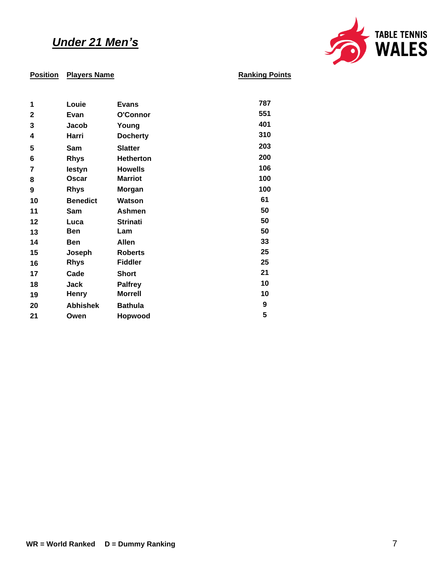## *Under 21 Men's*



| 1            | Louie           | <b>Evans</b>     | 787 |
|--------------|-----------------|------------------|-----|
| $\mathbf{2}$ | Evan            | O'Connor         | 551 |
| 3            | Jacob           | Young            | 401 |
| 4            | Harri           | <b>Docherty</b>  | 310 |
| 5            | Sam             | <b>Slatter</b>   | 203 |
| 6            | <b>Rhys</b>     | <b>Hetherton</b> | 200 |
| 7            | lestyn          | <b>Howells</b>   | 106 |
| 8            | Oscar           | <b>Marriot</b>   | 100 |
| 9            | <b>Rhys</b>     | Morgan           | 100 |
| 10           | <b>Benedict</b> | Watson           | 61  |
| 11           | Sam             | Ashmen           | 50  |
| 12           | Luca            | <b>Strinati</b>  | 50  |
| 13           | Ben             | Lam              | 50  |
| 14           | Ben             | <b>Allen</b>     | 33  |
| 15           | Joseph          | <b>Roberts</b>   | 25  |
| 16           | <b>Rhys</b>     | <b>Fiddler</b>   | 25  |
| 17           | Cade            | Short            | 21  |
| 18           | <b>Jack</b>     | <b>Palfrey</b>   | 10  |
| 19           | <b>Henry</b>    | <b>Morrell</b>   | 10  |
| 20           | <b>Abhishek</b> | <b>Bathula</b>   | 9   |
| 21           | Owen            | Hopwood          | 5   |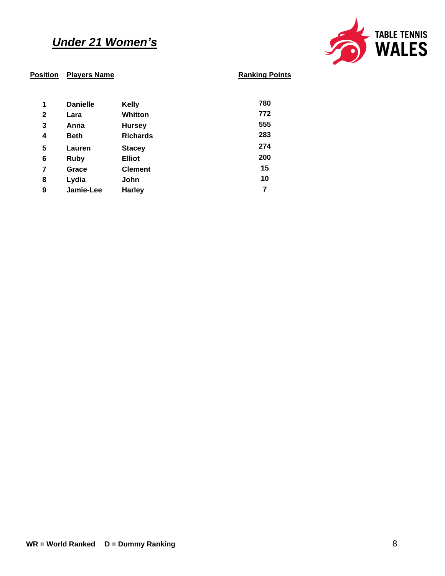## *Under 21 Women's*



| 1            | <b>Danielle</b> | <b>Kelly</b>    | 780 |
|--------------|-----------------|-----------------|-----|
| $\mathbf{2}$ | Lara            | Whitton         | 772 |
| 3            | Anna            | <b>Hursey</b>   | 555 |
| 4            | <b>Beth</b>     | <b>Richards</b> | 283 |
| 5            | Lauren          | <b>Stacey</b>   | 274 |
| 6            | Ruby            | <b>Elliot</b>   | 200 |
| 7            | Grace           | <b>Clement</b>  | 15  |
| 8            | Lydia           | John            | 10  |
| 9            | Jamie-Lee       | <b>Harley</b>   | 7   |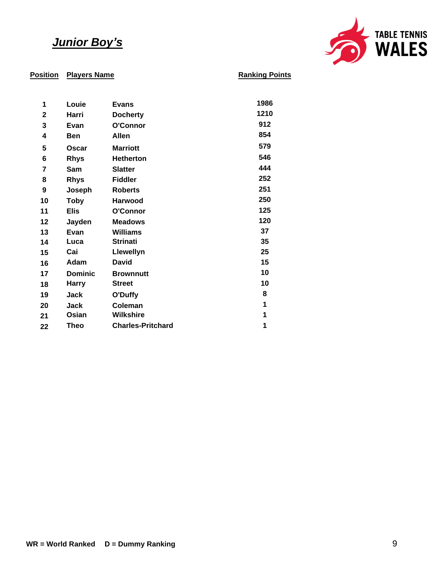## *Junior Boy's*



| 1            | Louie          | <b>Evans</b>             | 1986 |
|--------------|----------------|--------------------------|------|
| $\mathbf{2}$ | Harri          | <b>Docherty</b>          | 1210 |
| 3            | Evan           | O'Connor                 | 912  |
| 4            | <b>Ben</b>     | Allen                    | 854  |
| 5            | <b>Oscar</b>   | <b>Marriott</b>          | 579  |
| 6            | <b>Rhys</b>    | <b>Hetherton</b>         | 546  |
| 7            | Sam            | <b>Slatter</b>           | 444  |
| 8            | <b>Rhys</b>    | <b>Fiddler</b>           | 252  |
| 9            | Joseph         | <b>Roberts</b>           | 251  |
| 10           | <b>Toby</b>    | <b>Harwood</b>           | 250  |
| 11           | Elis           | O'Connor                 | 125  |
| 12           | Jayden         | <b>Meadows</b>           | 120  |
| 13           | Evan           | <b>Williams</b>          | 37   |
| 14           | Luca           | <b>Strinati</b>          | 35   |
| 15           | Cai            | Llewellyn                | 25   |
| 16           | Adam           | <b>David</b>             | 15   |
| 17           | <b>Dominic</b> | <b>Brownnutt</b>         | 10   |
| 18           | <b>Harry</b>   | <b>Street</b>            | 10   |
| 19           | Jack           | O'Duffy                  | 8    |
| 20           | Jack           | Coleman                  | 1    |
| 21           | Osian          | <b>Wilkshire</b>         | 1    |
| 22           | <b>Theo</b>    | <b>Charles-Pritchard</b> | 1    |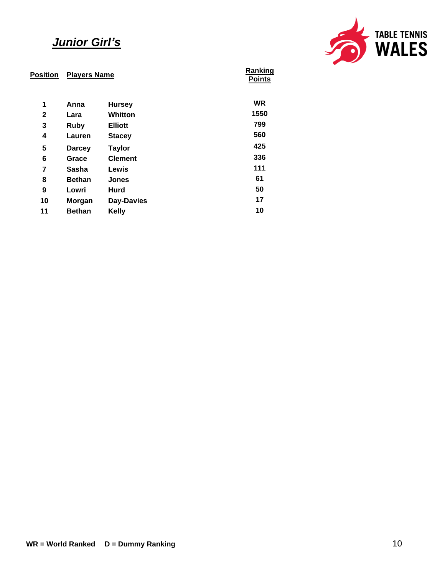## *Junior Girl's*



| <b>Position</b> | <b>Players Name</b> |                | Ranking<br><b>Points</b> |
|-----------------|---------------------|----------------|--------------------------|
| 1               | Anna                | <b>Hursey</b>  | <b>WR</b>                |
| 2               | Lara                | Whitton        | 1550                     |
| 3               | <b>Ruby</b>         | <b>Elliott</b> | 799                      |
| 4               | Lauren              | <b>Stacey</b>  | 560                      |
| 5               | <b>Darcey</b>       | <b>Taylor</b>  | 425                      |
| 6               | Grace               | <b>Clement</b> | 336                      |
| 7               | Sasha               | Lewis          | 111                      |
| 8               | <b>Bethan</b>       | <b>Jones</b>   | 61                       |
| 9               | Lowri               | Hurd           | 50                       |
| 10              | <b>Morgan</b>       | Day-Davies     | 17                       |
| 11              | <b>Bethan</b>       | <b>Kelly</b>   | 10                       |
|                 |                     |                |                          |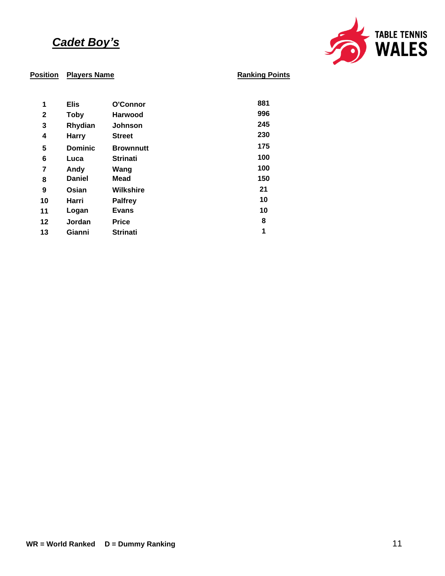## *Cadet Boy's*



| 1            | <b>Elis</b>    | O'Connor         | 881 |
|--------------|----------------|------------------|-----|
| $\mathbf{2}$ | <b>Toby</b>    | <b>Harwood</b>   | 996 |
| 3            | Rhydian        | <b>Johnson</b>   | 245 |
| 4            | <b>Harry</b>   | <b>Street</b>    | 230 |
| 5            | <b>Dominic</b> | <b>Brownnutt</b> | 175 |
| 6            | Luca           | <b>Strinati</b>  | 100 |
| 7            | Andy           | Wang             | 100 |
| 8            | <b>Daniel</b>  | <b>Mead</b>      | 150 |
| 9            | Osian          | Wilkshire        | 21  |
| 10           | Harri          | <b>Palfrey</b>   | 10  |
| 11           | Logan          | <b>Evans</b>     | 10  |
| 12           | Jordan         | <b>Price</b>     | 8   |
| 13           | Gianni         | <b>Strinati</b>  | 1   |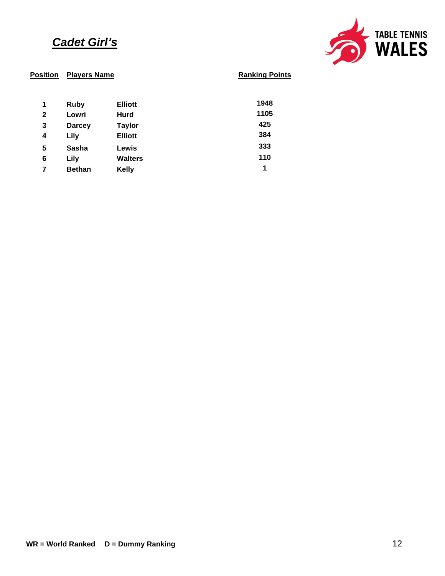## *Cadet Girl's*



| 1            | <b>Ruby</b>   | <b>Elliott</b> | 1948 |
|--------------|---------------|----------------|------|
| $\mathbf{2}$ | Lowri         | Hurd           | 1105 |
| 3            | <b>Darcey</b> | <b>Taylor</b>  | 425  |
| 4            | Lily          | <b>Elliott</b> | 384  |
| 5            | Sasha         | Lewis          | 333  |
| 6            | Lily          | <b>Walters</b> | 110  |
|              | <b>Bethan</b> | <b>Kelly</b>   | 1    |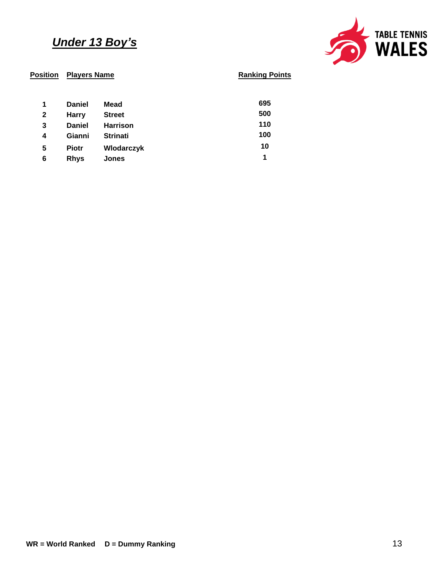## *Under 13 Boy's*



| 1            | <b>Daniel</b> | Mead              | 695 |
|--------------|---------------|-------------------|-----|
| $\mathbf{2}$ | <b>Harry</b>  | <b>Street</b>     | 500 |
| 3            | <b>Daniel</b> | <b>Harrison</b>   | 110 |
| 4            | Gianni        | <b>Strinati</b>   | 100 |
| 5            | <b>Piotr</b>  | <b>Wlodarczyk</b> | 10  |
| 6            | <b>Rhys</b>   | <b>Jones</b>      | 1   |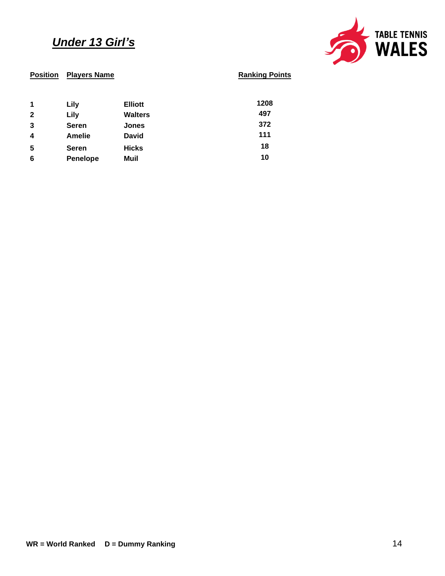## *Under 13 Girl's*



| <b>Position</b> | <b>Players Name</b> |                | <b>Ranking P</b> |
|-----------------|---------------------|----------------|------------------|
| 1               | Lily                | <b>Elliott</b> | 1208             |
| $\mathbf{2}$    | Lily                | <b>Walters</b> | 497              |
| 3               | <b>Seren</b>        | <b>Jones</b>   | 372              |
| 4               | <b>Amelie</b>       | <b>David</b>   | 111              |
| 5               | <b>Seren</b>        | <b>Hicks</b>   | 18               |
| 6               | <b>Penelope</b>     | Muil           | 10               |
|                 |                     |                |                  |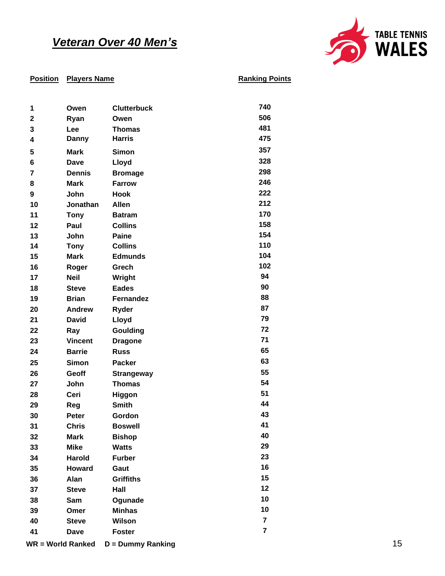## *Veteran Over 40 Men's*



| 1                       | Owen                     | <b>Clutterbuck</b>       | 740            |    |
|-------------------------|--------------------------|--------------------------|----------------|----|
| $\mathbf 2$             | Ryan                     | Owen                     | 506            |    |
| 3                       | Lee                      | <b>Thomas</b>            | 481            |    |
| 4                       | <b>Danny</b>             | <b>Harris</b>            | 475            |    |
| 5                       | <b>Mark</b>              | <b>Simon</b>             | 357            |    |
| 6                       | <b>Dave</b>              | <b>Lloyd</b>             | 328            |    |
| $\overline{\mathbf{r}}$ | <b>Dennis</b>            | <b>Bromage</b>           | 298            |    |
| 8                       | <b>Mark</b>              | <b>Farrow</b>            | 246            |    |
| 9                       | John                     | <b>Hook</b>              | 222            |    |
| 10                      | Jonathan                 | Allen                    | 212            |    |
| 11                      | <b>Tony</b>              | <b>Batram</b>            | 170            |    |
| 12                      | Paul                     | <b>Collins</b>           | 158            |    |
| 13                      | John                     | Paine                    | 154            |    |
| 14                      | <b>Tony</b>              | <b>Collins</b>           | 110            |    |
| 15                      | <b>Mark</b>              | <b>Edmunds</b>           | 104            |    |
| 16                      | Roger                    | Grech                    | 102            |    |
| 17                      | <b>Neil</b>              | Wright                   | 94             |    |
| 18                      | <b>Steve</b>             | <b>Eades</b>             | 90             |    |
| 19                      | <b>Brian</b>             | Fernandez                | 88             |    |
| 20                      | <b>Andrew</b>            | Ryder                    | 87             |    |
| 21                      | <b>David</b>             | <b>Lloyd</b>             | 79             |    |
| 22                      | Ray                      | Goulding                 | 72             |    |
| 23                      | <b>Vincent</b>           | <b>Dragone</b>           | 71             |    |
| 24                      | <b>Barrie</b>            | <b>Russ</b>              | 65             |    |
| 25                      | <b>Simon</b>             | <b>Packer</b>            | 63             |    |
| 26                      | Geoff                    | <b>Strangeway</b>        | 55             |    |
| 27                      | John                     | <b>Thomas</b>            | 54             |    |
| 28                      | Ceri                     | Higgon                   | 51             |    |
| 29                      | Reg                      | <b>Smith</b>             | 44             |    |
| 30                      | Peter                    | Gordon                   | 43             |    |
| 31                      | <b>Chris</b>             | <b>Boswell</b>           | 41             |    |
| 32                      | <b>Mark</b>              | <b>Bishop</b>            | 40             |    |
| 33                      | <b>Mike</b>              | <b>Watts</b>             | 29             |    |
| 34                      | <b>Harold</b>            | <b>Furber</b>            | 23             |    |
| 35                      | <b>Howard</b>            | Gaut                     | 16             |    |
| 36                      | Alan                     | <b>Griffiths</b>         | 15             |    |
| 37                      | <b>Steve</b>             | Hall                     | 12             |    |
| 38                      | Sam                      | Ogunade                  | 10             |    |
| 39                      | Omer                     | <b>Minhas</b>            | 10             |    |
| 40                      | <b>Steve</b>             | Wilson                   | $\overline{7}$ |    |
| 41                      | Dave                     | <b>Foster</b>            | $\overline{7}$ |    |
|                         | <b>WR = World Ranked</b> | <b>D</b> = Dummy Ranking |                | 15 |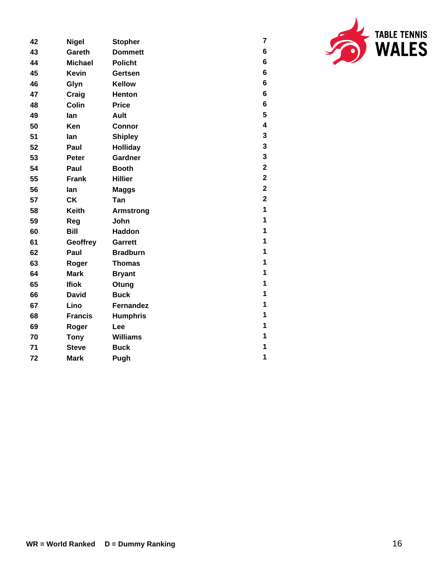| <b>TABLE TENNIS</b><br><b>WALES</b> |
|-------------------------------------|
|-------------------------------------|

| 42 | <b>Nigel</b>   | <b>Stopher</b>   | $\overline{\mathbf{7}}$ |
|----|----------------|------------------|-------------------------|
| 43 | Gareth         | <b>Dommett</b>   | 6                       |
| 44 | <b>Michael</b> | <b>Policht</b>   | 6                       |
| 45 | <b>Kevin</b>   | Gertsen          | $\bf 6$                 |
| 46 | Glyn           | <b>Kellow</b>    | 6                       |
| 47 | Craig          | <b>Henton</b>    | $\bf 6$                 |
| 48 | <b>Colin</b>   | <b>Price</b>     | $\bf 6$                 |
| 49 | lan            | <b>Ault</b>      | 5                       |
| 50 | Ken            | <b>Connor</b>    | $\overline{\mathbf{4}}$ |
| 51 | lan            | <b>Shipley</b>   | 3                       |
| 52 | Paul           | <b>Holliday</b>  | 3                       |
| 53 | Peter          | Gardner          | 3                       |
| 54 | Paul           | <b>Booth</b>     | $\overline{\mathbf{2}}$ |
| 55 | <b>Frank</b>   | <b>Hillier</b>   | $\mathbf 2$             |
| 56 | lan            | <b>Maggs</b>     | $\mathbf{2}$            |
| 57 | <b>CK</b>      | Tan              | $\mathbf 2$             |
| 58 | <b>Keith</b>   | <b>Armstrong</b> | $\overline{\mathbf{1}}$ |
| 59 | Reg            | John             | $\mathbf 1$             |
| 60 | <b>Bill</b>    | <b>Haddon</b>    | 1                       |
| 61 | Geoffrey       | Garrett          | 1                       |
| 62 | Paul           | <b>Bradburn</b>  | $\mathbf 1$             |
| 63 | Roger          | <b>Thomas</b>    | $\mathbf 1$             |
| 64 | <b>Mark</b>    | <b>Bryant</b>    | 1                       |
| 65 | <b>Ifiok</b>   | Otung            | 1                       |
| 66 | <b>David</b>   | <b>Buck</b>      | 1                       |
| 67 | Lino           | <b>Fernandez</b> | $\mathbf 1$             |
| 68 | <b>Francis</b> | <b>Humphris</b>  | 1                       |
| 69 | Roger          | Lee              | 1                       |
| 70 | <b>Tony</b>    | <b>Williams</b>  | 1                       |
| 71 | <b>Steve</b>   | <b>Buck</b>      | 1                       |
| 72 | <b>Mark</b>    | Pugh             | 1                       |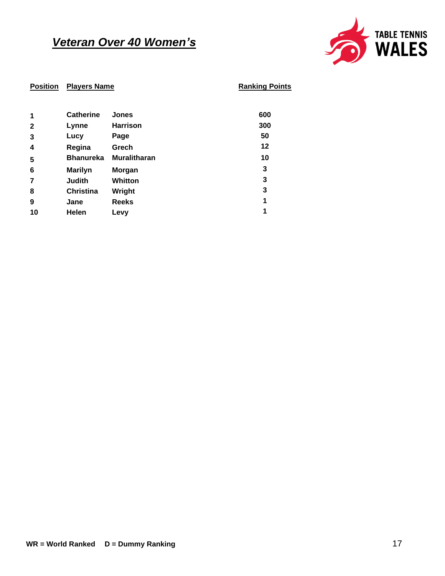## *Veteran Over 40 Women's*



| 1                       | <b>Catherine</b> | <b>Jones</b>        | 600 |
|-------------------------|------------------|---------------------|-----|
| $\mathbf{2}$            | Lynne            | <b>Harrison</b>     | 300 |
| 3                       | Lucy             | Page                | 50  |
| $\overline{\mathbf{4}}$ | Regina           | Grech               | 12  |
| 5                       | <b>Bhanureka</b> | <b>Muralitharan</b> | 10  |
| 6                       | <b>Marilyn</b>   | <b>Morgan</b>       | 3   |
| 7                       | <b>Judith</b>    | <b>Whitton</b>      | 3   |
| 8                       | <b>Christina</b> | Wright              | 3   |
| 9                       | Jane             | <b>Reeks</b>        | 1   |
| 10                      | Helen            | Levy                | 1   |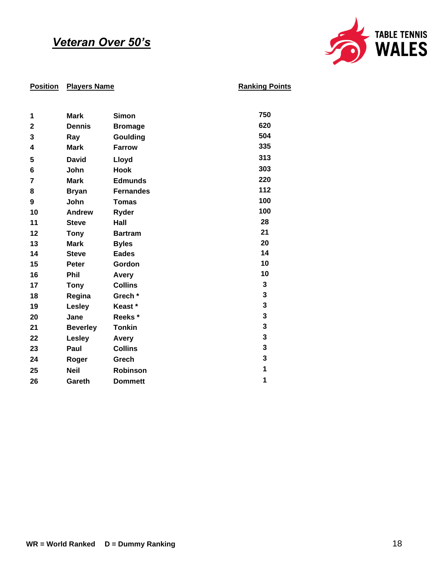## *Veteran Over 50's*



| 1              | <b>Mark</b>     | <b>Simon</b>     | 750 |
|----------------|-----------------|------------------|-----|
| 2              | <b>Dennis</b>   | <b>Bromage</b>   | 620 |
| 3              | Ray             | Goulding         | 504 |
| 4              | <b>Mark</b>     | <b>Farrow</b>    | 335 |
| 5              | <b>David</b>    | Lloyd            | 313 |
| 6              | John            | <b>Hook</b>      | 303 |
| $\overline{7}$ | <b>Mark</b>     | <b>Edmunds</b>   | 220 |
| 8              | <b>Bryan</b>    | <b>Fernandes</b> | 112 |
| 9              | John            | <b>Tomas</b>     | 100 |
| 10             | <b>Andrew</b>   | Ryder            | 100 |
| 11             | <b>Steve</b>    | Hall             | 28  |
| 12             | <b>Tony</b>     | <b>Bartram</b>   | 21  |
| 13             | <b>Mark</b>     | <b>Byles</b>     | 20  |
| 14             | <b>Steve</b>    | <b>Eades</b>     | 14  |
| 15             | <b>Peter</b>    | Gordon           | 10  |
| 16             | <b>Phil</b>     | Avery            | 10  |
| 17             | <b>Tony</b>     | <b>Collins</b>   | 3   |
| 18             | Regina          | Grech*           | 3   |
| 19             | Lesley          | Keast*           | 3   |
| 20             | Jane            | Reeks*           | 3   |
| 21             | <b>Beverley</b> | <b>Tonkin</b>    | 3   |
| 22             | <b>Lesley</b>   | Avery            | 3   |
| 23             | Paul            | <b>Collins</b>   | 3   |
| 24             | Roger           | Grech            | 3   |
| 25             | <b>Neil</b>     | Robinson         | 1   |
| 26             | Gareth          | <b>Dommett</b>   | 1   |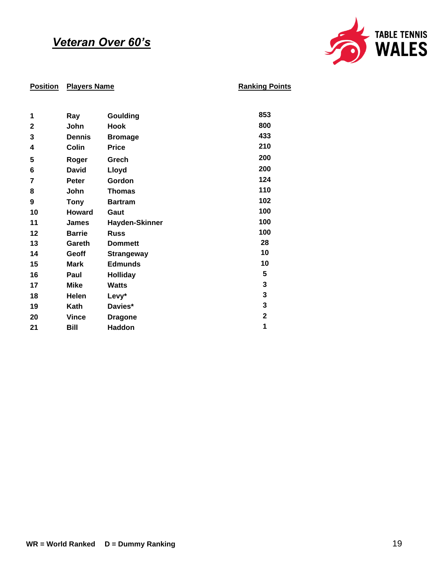## *Veteran Over 60's*



| 1            | Ray           | Goulding              | 853         |
|--------------|---------------|-----------------------|-------------|
| $\mathbf{2}$ | John          | <b>Hook</b>           | 800         |
| 3            | <b>Dennis</b> | <b>Bromage</b>        | 433         |
| 4            | <b>Colin</b>  | <b>Price</b>          | 210         |
| 5            | Roger         | Grech                 | 200         |
| 6            | <b>David</b>  | Lloyd                 | 200         |
| 7            | Peter         | Gordon                | 124         |
| 8            | John          | <b>Thomas</b>         | 110         |
| 9            | <b>Tony</b>   | <b>Bartram</b>        | 102         |
| 10           | <b>Howard</b> | Gaut                  | 100         |
| 11           | <b>James</b>  | <b>Hayden-Skinner</b> | 100         |
| 12           | <b>Barrie</b> | <b>Russ</b>           | 100         |
| 13           | Gareth        | <b>Dommett</b>        | 28          |
| 14           | Geoff         | <b>Strangeway</b>     | 10          |
| 15           | <b>Mark</b>   | <b>Edmunds</b>        | 10          |
| 16           | Paul          | <b>Holliday</b>       | 5           |
| 17           | <b>Mike</b>   | <b>Watts</b>          | 3           |
| 18           | Helen         | Levy*                 | 3           |
| 19           | Kath          | Davies*               | 3           |
| 20           | <b>Vince</b>  | <b>Dragone</b>        | $\mathbf 2$ |
| 21           | Bill          | Haddon                | 1           |